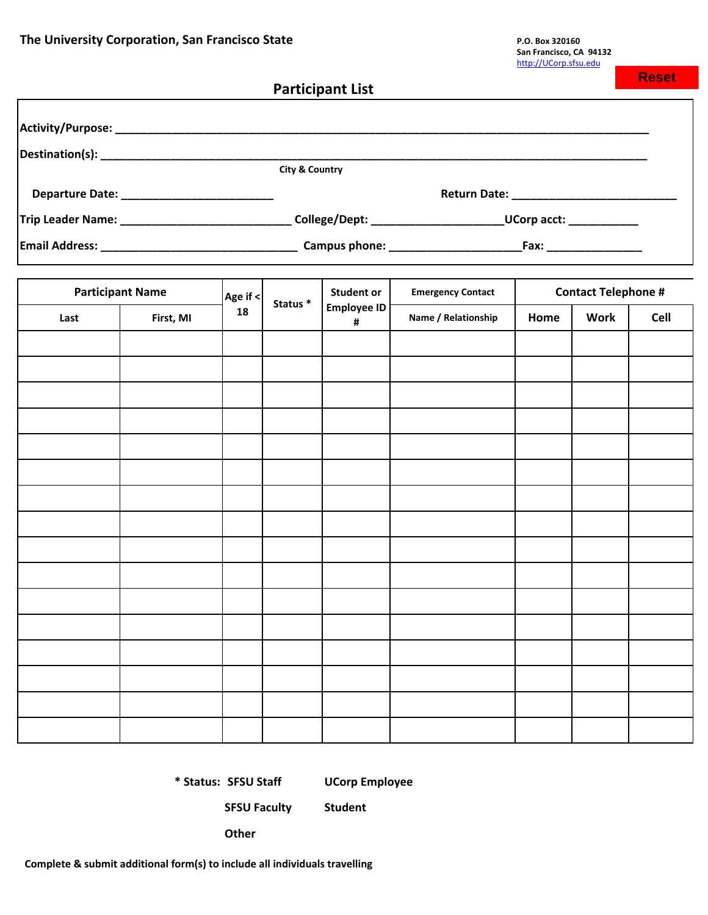**Reset**

|                                                                                                                      |           |          |                           | <b>Participant List</b> |                                                        |      |             | .           |  |
|----------------------------------------------------------------------------------------------------------------------|-----------|----------|---------------------------|-------------------------|--------------------------------------------------------|------|-------------|-------------|--|
|                                                                                                                      |           |          |                           |                         |                                                        |      |             |             |  |
|                                                                                                                      |           |          |                           |                         |                                                        |      |             |             |  |
|                                                                                                                      |           |          | <b>City &amp; Country</b> |                         |                                                        |      |             |             |  |
|                                                                                                                      |           |          |                           |                         |                                                        |      |             |             |  |
| Trip Leader Name: _________________________________College/Dept: __________________________UCorp acct: _____________ |           |          |                           |                         |                                                        |      |             |             |  |
|                                                                                                                      |           |          |                           |                         |                                                        |      |             |             |  |
| <b>Participant Name</b>                                                                                              |           | Age if < |                           | <b>Student or</b>       | <b>Contact Telephone #</b><br><b>Emergency Contact</b> |      |             |             |  |
| Last                                                                                                                 | First, MI | 18       | Status <sup>*</sup>       | <b>Employee ID</b><br># | Name / Relationship                                    | Home | <b>Work</b> | <b>Cell</b> |  |
|                                                                                                                      |           |          |                           |                         |                                                        |      |             |             |  |
|                                                                                                                      |           |          |                           |                         |                                                        |      |             |             |  |
|                                                                                                                      |           |          |                           |                         |                                                        |      |             |             |  |
|                                                                                                                      |           |          |                           |                         |                                                        |      |             |             |  |
|                                                                                                                      |           |          |                           |                         |                                                        |      |             |             |  |
|                                                                                                                      |           |          |                           |                         |                                                        |      |             |             |  |
|                                                                                                                      |           |          |                           |                         |                                                        |      |             |             |  |
|                                                                                                                      |           |          |                           |                         |                                                        |      |             |             |  |
|                                                                                                                      |           |          |                           |                         |                                                        |      |             |             |  |
|                                                                                                                      |           |          |                           |                         |                                                        |      |             |             |  |
|                                                                                                                      |           |          |                           |                         |                                                        |      |             |             |  |
|                                                                                                                      |           |          |                           |                         |                                                        |      |             |             |  |
|                                                                                                                      |           |          |                           |                         |                                                        |      |             |             |  |
|                                                                                                                      |           |          |                           |                         |                                                        |      |             |             |  |
|                                                                                                                      |           |          |                           |                         |                                                        |      |             |             |  |
|                                                                                                                      |           |          |                           |                         |                                                        |      |             |             |  |

**\* Status: SFSU Staff UCorp Employee**

**SFSU Faculty Student**

**Other**